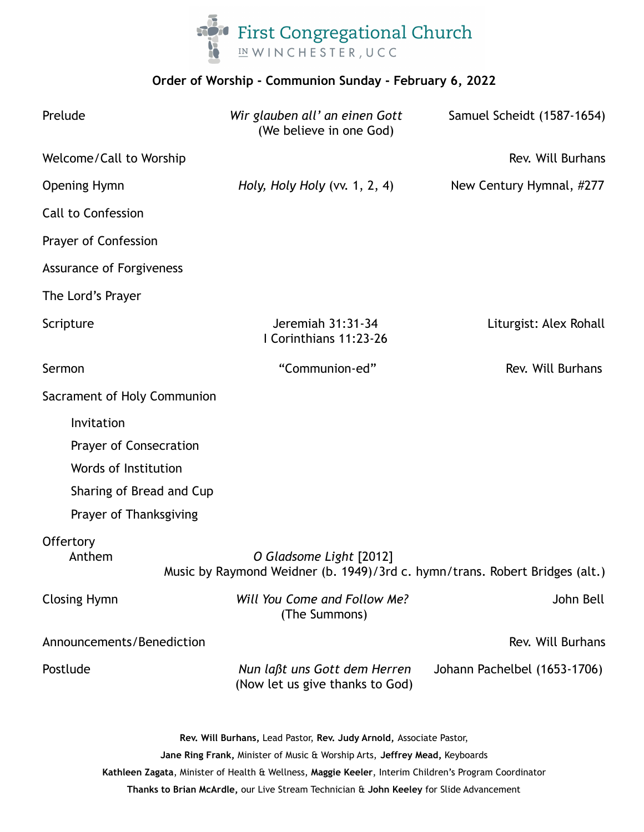

## **Order of Worship - Communion Sunday - February 6, 2022**

| Prelude                                                                                                                                                                                                                                                    | Wir glauben all' an einen Gott<br>(We believe in one God)                                              | Samuel Scheidt (1587-1654)   |
|------------------------------------------------------------------------------------------------------------------------------------------------------------------------------------------------------------------------------------------------------------|--------------------------------------------------------------------------------------------------------|------------------------------|
| Welcome/Call to Worship                                                                                                                                                                                                                                    |                                                                                                        | Rev. Will Burhans            |
| <b>Opening Hymn</b>                                                                                                                                                                                                                                        | Holy, Holy Holy (vv. $1, 2, 4$ )                                                                       | New Century Hymnal, #277     |
| Call to Confession                                                                                                                                                                                                                                         |                                                                                                        |                              |
| Prayer of Confession                                                                                                                                                                                                                                       |                                                                                                        |                              |
| <b>Assurance of Forgiveness</b>                                                                                                                                                                                                                            |                                                                                                        |                              |
| The Lord's Prayer                                                                                                                                                                                                                                          |                                                                                                        |                              |
| Scripture                                                                                                                                                                                                                                                  | Jeremiah 31:31-34<br>I Corinthians 11:23-26                                                            | Liturgist: Alex Rohall       |
| Sermon                                                                                                                                                                                                                                                     | "Communion-ed"                                                                                         | Rev. Will Burhans            |
| Sacrament of Holy Communion                                                                                                                                                                                                                                |                                                                                                        |                              |
| Invitation                                                                                                                                                                                                                                                 |                                                                                                        |                              |
| Prayer of Consecration                                                                                                                                                                                                                                     |                                                                                                        |                              |
| Words of Institution                                                                                                                                                                                                                                       |                                                                                                        |                              |
| Sharing of Bread and Cup                                                                                                                                                                                                                                   |                                                                                                        |                              |
| Prayer of Thanksgiving                                                                                                                                                                                                                                     |                                                                                                        |                              |
| Offertory<br>Anthem                                                                                                                                                                                                                                        | O Gladsome Light [2012]<br>Music by Raymond Weidner (b. 1949)/3rd c. hymn/trans. Robert Bridges (alt.) |                              |
| <b>Closing Hymn</b>                                                                                                                                                                                                                                        | Will You Come and Follow Me?<br>(The Summons)                                                          | John Bell                    |
| Announcements/Benediction                                                                                                                                                                                                                                  |                                                                                                        | Rev. Will Burhans            |
| Postlude                                                                                                                                                                                                                                                   | Nun laßt uns Gott dem Herren<br>(Now let us give thanks to God)                                        | Johann Pachelbel (1653-1706) |
| Rev. Will Burhans, Lead Pastor, Rev. Judy Arnold, Associate Pastor,<br>Jane Ring Frank, Minister of Music & Worship Arts, Jeffrey Mead, Keyboards<br>Kathleen Zagata, Minister of Health & Wellness, Maggie Keeler, Interim Children's Program Coordinator |                                                                                                        |                              |

**Thanks to Brian McArdle,** our Live Stream Technician & **John Keeley** for Slide Advancement